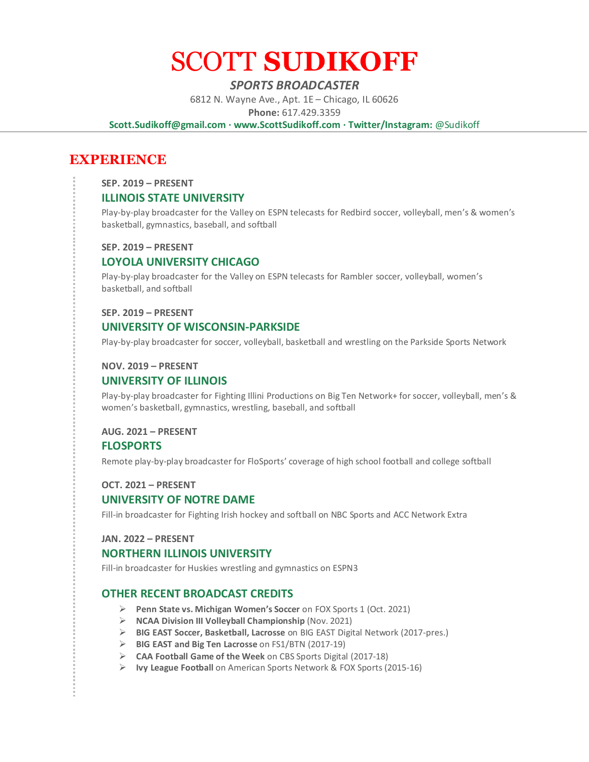# SCOTT **SUDIKOFF**

# *SPORTS BROADCASTER*

6812 N. Wayne Ave., Apt. 1E – Chicago, IL 60626

**Phone:** 617.429.3359

**Scott.Sudikoff@gmail.com · www.ScottSudikoff.com · Twitter/Instagram:** @Sudikoff

# **EXPERIENCE**

**SEP. 2019 – PRESENT**

# **ILLINOIS STATE UNIVERSITY**

Play-by-play broadcaster for the Valley on ESPN telecasts for Redbird soccer, volleyball, men's & women's basketball, gymnastics, baseball, and softball

#### **SEP. 2019 – PRESENT**

# **LOYOLA UNIVERSITY CHICAGO**

Play-by-play broadcaster for the Valley on ESPN telecasts for Rambler soccer, volleyball, women's basketball, and softball

#### **SEP. 2019 – PRESENT**

# **UNIVERSITY OF WISCONSIN-PARKSIDE**

Play-by-play broadcaster for soccer, volleyball, basketball and wrestling on the Parkside Sports Network

#### **NOV. 2019 – PRESENT**

# **UNIVERSITY OF ILLINOIS**

Play-by-play broadcaster for Fighting Illini Productions on Big Ten Network+ for soccer, volleyball, men's & women's basketball, gymnastics, wrestling, baseball, and softball

#### **AUG. 2021 – PRESENT**

## **FLOSPORTS**

Remote play-by-play broadcaster for FloSports' coverage of high school football and college softball

#### **OCT. 2021 – PRESENT**

## **UNIVERSITY OF NOTRE DAME**

Fill-in broadcaster for Fighting Irish hockey and softball on NBC Sports and ACC Network Extra

#### **JAN. 2022 – PRESENT**

#### **NORTHERN ILLINOIS UNIVERSITY**

Fill-in broadcaster for Huskies wrestling and gymnastics on ESPN3

# **OTHER RECENT BROADCAST CREDITS**

- ➢ **Penn State vs. Michigan Women's Soccer** on FOX Sports 1 (Oct. 2021)
- ➢ **NCAA Division III Volleyball Championship** (Nov. 2021)
- ➢ **BIG EAST Soccer, Basketball, Lacrosse** on BIG EAST Digital Network (2017-pres.)
- ➢ **BIG EAST and Big Ten Lacrosse** on FS1/BTN (2017-19)
- ➢ **CAA Football Game of the Week** on CBS Sports Digital (2017-18)
- ➢ **Ivy League Football** on American Sports Network & FOX Sports (2015-16)